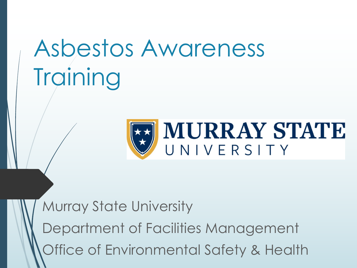# Asbestos Awareness **Training**



Murray State University Department of Facilities Management Office of Environmental Safety & Health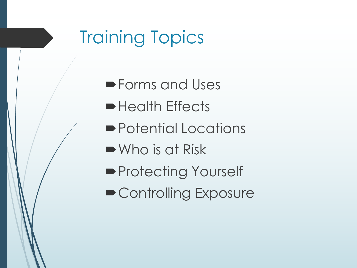# Training Topics

**Forms and Uses** • Health Effects • Potential Locations  $\blacktriangleright$  Who is at Risk **Protecting Yourself** • Controlling Exposure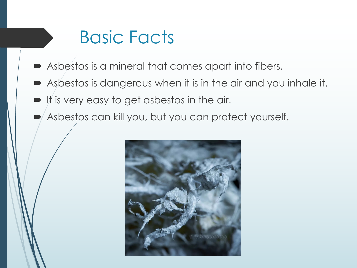## Basic Facts

- $\blacktriangleright$  Asbestos is a mineral that comes apart into fibers.
- $\blacktriangleright$  Asbestos is dangerous when it is in the air and you inhale it.
- It is very easy to get asbestos in the air.
- ´ Asbestos can kill you, but you can protect yourself.

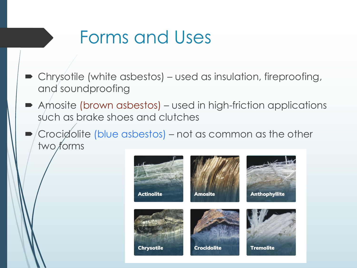#### Forms and Uses

- Chrysotile (white asbestos) used as insulation, fireproofing, and soundproofing
- Amosite (brown asbestos) used in high-friction applications such as brake shoes and clutches
- $\blacktriangleright$  Crocidolite (blue asbestos) not as common as the other two forms

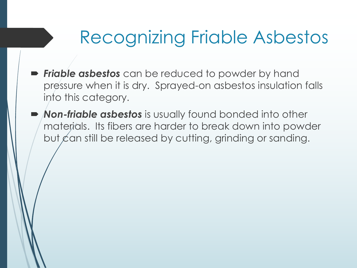## Recognizing Friable Asbestos

- **Friable asbestos** can be reduced to powder by hand pressure when it is dry. Sprayed-on asbestos insulation falls into this category.
- **Non-friable asbestos** is usually found bonded into other materials. Its fibers are harder to break down into powder but  $\zeta$  an still be released by cutting, grinding or sanding.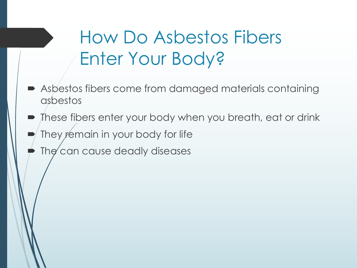# How Do Asbestos Fibers Enter Your Body?

- Asbestos fibers come from damaged materials containing asbestos
- $\blacksquare$  These fibers enter your body when you breath, eat or drink
- They remain in your body for life
- The can cause deadly diseases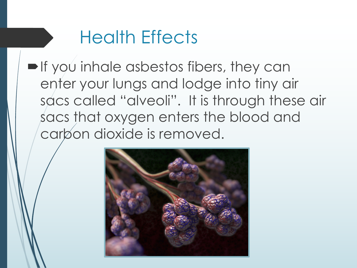$\blacksquare$ If you inhale asbestos fibers, they can enter your lungs and lodge into tiny air sacs called "alveoli". It is through these air sacs that oxygen enters the blood and carbon dioxide is removed.

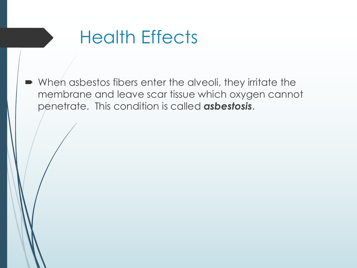$\blacktriangleright$  When asbestos fibers enter the alveoli, they irritate the membrane and leave scar tissue which oxygen cannot penetrate. This condition is called *asbestosis*.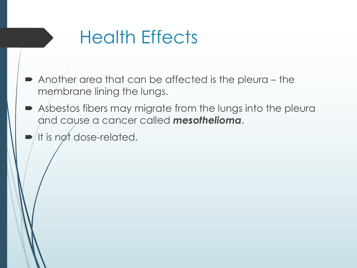- $\blacktriangleright$  Another area that can be affected is the pleura the membrane lining the lungs.
- $\blacktriangleright$  Asbestos fibers may migrate from the lungs into the pleura and cause a cancer called *mesothelioma*.
- $\blacktriangleright$  It is not dose-related.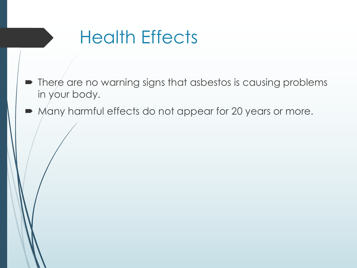- $\blacktriangleright$  There are no warning signs that asbestos is causing problems in your body.
- $\blacksquare$  Many harmful effects do not appear for 20 years or more.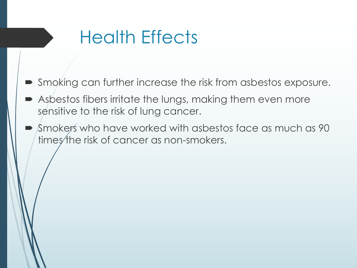- $\blacktriangleright$  Smoking can further increase the risk from asbestos exposure.
- $\blacktriangleright$  Asbestos fibers irritate the lungs, making them even more sensitive to the risk of lung cancer.
- $\blacktriangleright$  Smokers who have worked with asbestos face as much as 90 times the risk of cancer as non-smokers.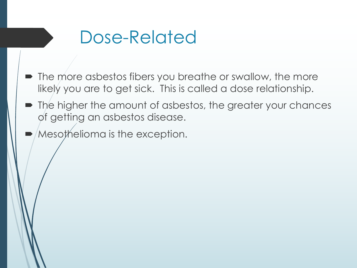#### Dose-Related

- $\blacksquare$  The more asbestos fibers you breathe or swallow, the more likely you are to get sick. This is called a dose relationship.
- $\blacksquare$  The higher the amount of asbestos, the greater your chances of getting an asbestos disease.
- $\blacktriangleright$  /Mesothelioma is the exception.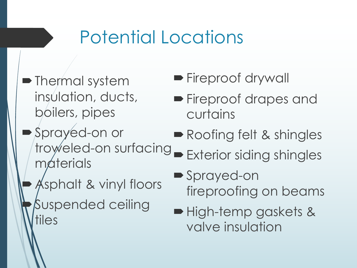# Potential Locations

- Thermal system insulation, ducts, boilers, pipes
- **Sprayed-on or** troweled-on surfacing máterials
	- ´Asphalt & vinyl floors ´Suspended ceiling tiles
- **Fireproof drywall**
- **Fireproof drapes and** curtains
- Roofing felt & shingles
- **Exterior siding shingles**
- Sprayed-on fireproofing on beams
- High-temp gaskets & valve insulation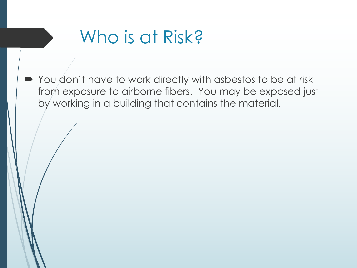#### Who is at Risk?

■ You don't have to work directly with asbestos to be at risk from exposure to airborne fibers. You may be exposed just by working in a building that contains the material.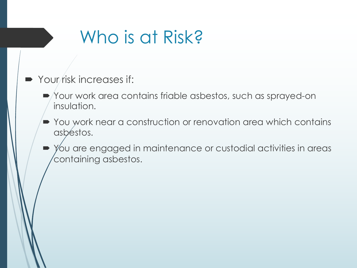## Who is at Risk?

- Your risk increases if:
	- $\blacktriangleright$  Your work area contains friable asbestos, such as sprayed-on insulation.
	- $\blacktriangleright$  You work near a construction or renovation area which contains asbestos.
	- $\rightarrow$  You are engaged in maintenance or custodial activities in areas containing asbestos.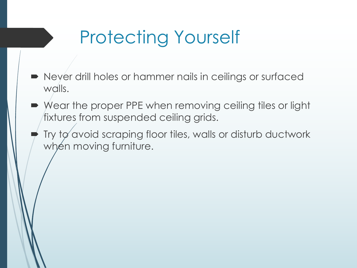# Protecting Yourself

- Never drill holes or hammer nails in ceilings or surfaced walls.
- $\blacktriangleright$  Wear the proper PPE when removing ceiling tiles or light fixtures from suspended ceiling grids.
- Try t $\phi$  avoid scraping floor tiles, walls or disturb ductwork when moving furniture.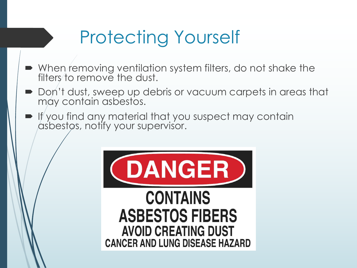# Protecting Yourself

- $\blacktriangleright$  When removing ventilation system filters, do not shake the filters to remove the dust.
- $\blacksquare$  Don't dust, sweep up debris or vacuum carpets in areas that may contain asbestos.
- $\blacksquare$  If you find any material that you suspect may contain asbestos, notify your supervisor.

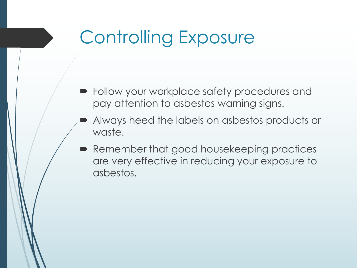# Controlling Exposure

- $\blacktriangleright$  Follow your workplace safety procedures and pay attention to asbestos warning signs.
- Always heed the labels on asbestos products or waste.
- Remember that good housekeeping practices are very effective in reducing your exposure to asbestos.